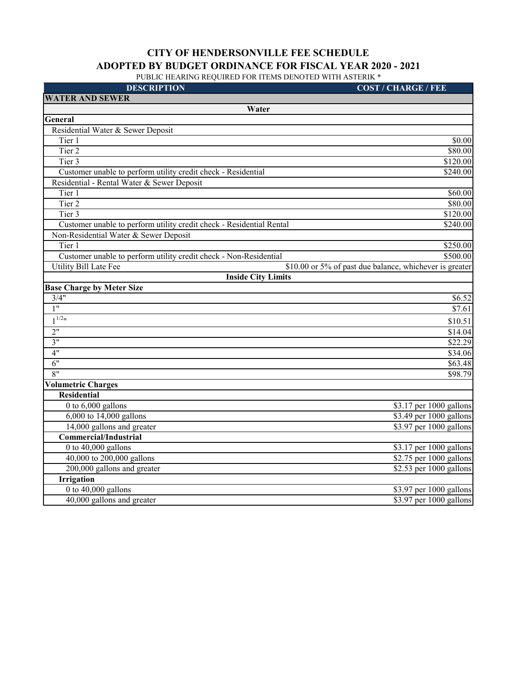| <b>DESCRIPTION</b>                                                   | <b>COST / CHARGE / FEE</b>                              |
|----------------------------------------------------------------------|---------------------------------------------------------|
| <b>WATER AND SEWER</b>                                               |                                                         |
| Water                                                                |                                                         |
| General                                                              |                                                         |
| Residential Water & Sewer Deposit                                    |                                                         |
| Tier 1                                                               | \$0.00                                                  |
| Tier 2                                                               | \$80.00                                                 |
| Tier 3                                                               | \$120.00                                                |
| Customer unable to perform utility credit check - Residential        | \$240.00                                                |
| Residential - Rental Water & Sewer Deposit                           |                                                         |
| Tier 1                                                               | \$60.00                                                 |
| Tier 2                                                               | \$80.00                                                 |
| Tier 3                                                               | $\overline{$}120.00$                                    |
| Customer unable to perform utility credit check - Residential Rental | \$240.00                                                |
| Non-Residential Water & Sewer Deposit                                |                                                         |
| Tier 1                                                               | \$250.00                                                |
| Customer unable to perform utility credit check - Non-Residential    | \$500.00                                                |
| <b>Utility Bill Late Fee</b>                                         | \$10.00 or 5% of past due balance, whichever is greater |
| <b>Inside City Limits</b>                                            |                                                         |
| <b>Base Charge by Meter Size</b>                                     |                                                         |
| 3/4"                                                                 | \$6.52                                                  |
| 1"                                                                   | \$7.61                                                  |
| $1^{1/2}$                                                            | \$10.51                                                 |
| 2"                                                                   | \$14.04                                                 |
| 3"                                                                   | \$22.29                                                 |
| 4"                                                                   | \$34.06                                                 |
| 6"                                                                   | \$63.48                                                 |
| 8"                                                                   | \$98.79                                                 |
| <b>Volumetric Charges</b>                                            |                                                         |
| <b>Residential</b>                                                   |                                                         |
| 0 to 6,000 gallons                                                   | \$3.17 per 1000 gallons                                 |
| 6,000 to 14,000 gallons                                              | \$3.49 per 1000 gallons                                 |
| 14,000 gallons and greater                                           | $$3.97$ per 1000 gallons                                |
| <b>Commercial/Industrial</b>                                         |                                                         |
| 0 to $40,000$ gallons                                                | \$3.17 per 1000 gallons                                 |
| 40,000 to 200,000 gallons                                            | \$2.75 per 1000 gallons                                 |
| 200,000 gallons and greater                                          | \$2.53 per 1000 gallons                                 |
| <b>Irrigation</b>                                                    |                                                         |
| 0 to $40,000$ gallons                                                | \$3.97 per 1000 gallons                                 |
| 40,000 gallons and greater                                           | \$3.97 per 1000 gallons                                 |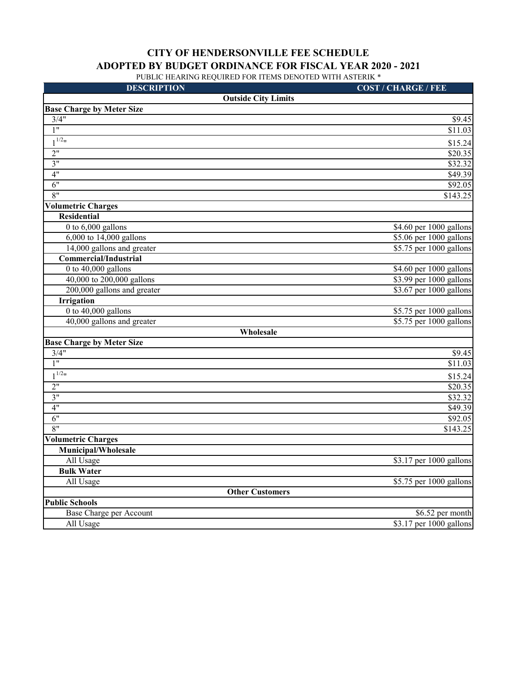| <b>DESCRIPTION</b>               | <b>COST / CHARGE / FEE</b> |
|----------------------------------|----------------------------|
| <b>Outside City Limits</b>       |                            |
| <b>Base Charge by Meter Size</b> |                            |
| 3/4"                             | \$9.45                     |
| $\overline{1}$ "                 | \$11.03                    |
| $1^{1/2}$                        | \$15.24                    |
| 2"                               | \$20.35                    |
| 3"                               | \$32.32                    |
| 4"                               | \$49.39                    |
| 6"                               | \$92.05                    |
| 8"                               | \$143.25                   |
| <b>Volumetric Charges</b>        |                            |
| Residential                      |                            |
| 0 to $6,000$ gallons             | \$4.60 per 1000 gallons    |
| 6,000 to 14,000 gallons          | \$5.06 per 1000 gallons    |
| 14,000 gallons and greater       | \$5.75 per 1000 gallons    |
| <b>Commercial/Industrial</b>     |                            |
| 0 to $40,000$ gallons            | \$4.60 per 1000 gallons    |
| 40,000 to 200,000 gallons        | \$3.99 per 1000 gallons    |
| 200,000 gallons and greater      | \$3.67 per 1000 gallons    |
| <b>Irrigation</b>                |                            |
| 0 to $40,000$ gallons            | \$5.75 per 1000 gallons    |
| 40,000 gallons and greater       | \$5.75 per 1000 gallons    |
| Wholesale                        |                            |
| <b>Base Charge by Meter Size</b> |                            |
| 3/4"                             | \$9.45                     |
| $\overline{1}$ "                 | \$11.03                    |
| $1^{1/2}$ "                      | \$15.24                    |
| 2"                               | \$20.35                    |
| 3"                               | \$32.32                    |
| 4"                               | \$49.39                    |
| 6"                               | \$92.05                    |
| 8"                               | \$143.25                   |
| <b>Volumetric Charges</b>        |                            |
| Municipal/Wholesale              |                            |
| All Usage                        | \$3.17 per 1000 gallons    |
| <b>Bulk Water</b>                |                            |
| All Usage                        | \$5.75 per 1000 gallons    |
| <b>Other Customers</b>           |                            |
| <b>Public Schools</b>            |                            |
| Base Charge per Account          | \$6.52 per month           |
| All Usage                        | \$3.17 per 1000 gallons    |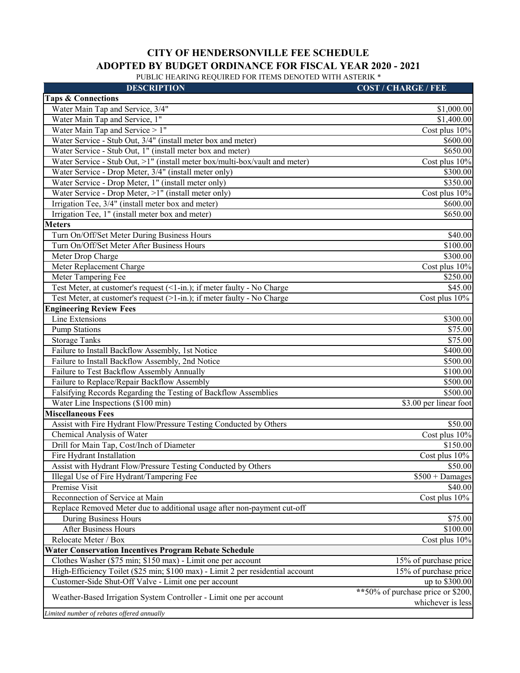| <b>Taps &amp; Connections</b><br>Water Main Tap and Service, 3/4"<br>\$1,000.00<br>Water Main Tap and Service, 1"<br>\$1,400.00<br>Water Main Tap and Service > 1"<br>Cost plus 10%<br>Water Service - Stub Out, 3/4" (install meter box and meter)<br>\$600.00<br>Water Service - Stub Out, 1" (install meter box and meter)<br>\$650.00<br>Water Service - Stub Out, >1" (install meter box/multi-box/vault and meter)<br>Cost plus 10%<br>Water Service - Drop Meter, 3/4" (install meter only)<br>\$300.00<br>Water Service - Drop Meter, 1" (install meter only)<br>\$350.00<br>Water Service - Drop Meter, >1" (install meter only)<br>Cost plus 10%<br>Irrigation Tee, 3/4" (install meter box and meter)<br>\$600.00<br>Irrigation Tee, 1" (install meter box and meter)<br>\$650.00<br><b>Meters</b><br>Turn On/Off/Set Meter During Business Hours<br>\$40.00<br>Turn On/Off/Set Meter After Business Hours<br>\$100.00<br>Meter Drop Charge<br>\$300.00<br>Meter Replacement Charge<br>Cost plus 10%<br>Meter Tampering Fee<br>\$250.00<br>Test Meter, at customer's request (<1-in.); if meter faulty - No Charge<br>\$45.00<br>Test Meter, at customer's request (>1-in.); if meter faulty - No Charge<br>Cost plus 10%<br><b>Engineering Review Fees</b><br>Line Extensions<br>\$300.00<br><b>Pump Stations</b><br>\$75.00<br>\$75.00<br><b>Storage Tanks</b><br>\$400.00<br>Failure to Install Backflow Assembly, 1st Notice<br>Failure to Install Backflow Assembly, 2nd Notice<br>\$500.00<br>Failure to Test Backflow Assembly Annually<br>\$100.00<br>Failure to Replace/Repair Backflow Assembly<br>\$500.00<br>Falsifying Records Regarding the Testing of Backflow Assemblies<br>\$500.00<br>Water Line Inspections (\$100 min)<br>\$3.00 per linear foot<br><b>Miscellaneous Fees</b><br>Assist with Fire Hydrant Flow/Pressure Testing Conducted by Others<br>\$50.00<br>Chemical Analysis of Water<br>Cost plus 10%<br>Drill for Main Tap, Cost/Inch of Diameter<br>\$150.00<br>Fire Hydrant Installation<br>Cost plus 10%<br>Assist with Hydrant Flow/Pressure Testing Conducted by Others<br>\$50.00<br>Illegal Use of Fire Hydrant/Tampering Fee<br>$$500 + Damages$<br>Premise Visit<br>\$40.00<br>Reconnection of Service at Main<br>Cost plus 10%<br>Replace Removed Meter due to additional usage after non-payment cut-off<br>\$75.00<br>During Business Hours<br>\$100.00<br>After Business Hours | <b>DESCRIPTION</b>   | <b>COST / CHARGE / FEE</b> |
|-------------------------------------------------------------------------------------------------------------------------------------------------------------------------------------------------------------------------------------------------------------------------------------------------------------------------------------------------------------------------------------------------------------------------------------------------------------------------------------------------------------------------------------------------------------------------------------------------------------------------------------------------------------------------------------------------------------------------------------------------------------------------------------------------------------------------------------------------------------------------------------------------------------------------------------------------------------------------------------------------------------------------------------------------------------------------------------------------------------------------------------------------------------------------------------------------------------------------------------------------------------------------------------------------------------------------------------------------------------------------------------------------------------------------------------------------------------------------------------------------------------------------------------------------------------------------------------------------------------------------------------------------------------------------------------------------------------------------------------------------------------------------------------------------------------------------------------------------------------------------------------------------------------------------------------------------------------------------------------------------------------------------------------------------------------------------------------------------------------------------------------------------------------------------------------------------------------------------------------------------------------------------------------------------------------------------------------------------------------------------------------------------------------------------------------|----------------------|----------------------------|
|                                                                                                                                                                                                                                                                                                                                                                                                                                                                                                                                                                                                                                                                                                                                                                                                                                                                                                                                                                                                                                                                                                                                                                                                                                                                                                                                                                                                                                                                                                                                                                                                                                                                                                                                                                                                                                                                                                                                                                                                                                                                                                                                                                                                                                                                                                                                                                                                                                     |                      |                            |
|                                                                                                                                                                                                                                                                                                                                                                                                                                                                                                                                                                                                                                                                                                                                                                                                                                                                                                                                                                                                                                                                                                                                                                                                                                                                                                                                                                                                                                                                                                                                                                                                                                                                                                                                                                                                                                                                                                                                                                                                                                                                                                                                                                                                                                                                                                                                                                                                                                     |                      |                            |
|                                                                                                                                                                                                                                                                                                                                                                                                                                                                                                                                                                                                                                                                                                                                                                                                                                                                                                                                                                                                                                                                                                                                                                                                                                                                                                                                                                                                                                                                                                                                                                                                                                                                                                                                                                                                                                                                                                                                                                                                                                                                                                                                                                                                                                                                                                                                                                                                                                     |                      |                            |
|                                                                                                                                                                                                                                                                                                                                                                                                                                                                                                                                                                                                                                                                                                                                                                                                                                                                                                                                                                                                                                                                                                                                                                                                                                                                                                                                                                                                                                                                                                                                                                                                                                                                                                                                                                                                                                                                                                                                                                                                                                                                                                                                                                                                                                                                                                                                                                                                                                     |                      |                            |
|                                                                                                                                                                                                                                                                                                                                                                                                                                                                                                                                                                                                                                                                                                                                                                                                                                                                                                                                                                                                                                                                                                                                                                                                                                                                                                                                                                                                                                                                                                                                                                                                                                                                                                                                                                                                                                                                                                                                                                                                                                                                                                                                                                                                                                                                                                                                                                                                                                     |                      |                            |
|                                                                                                                                                                                                                                                                                                                                                                                                                                                                                                                                                                                                                                                                                                                                                                                                                                                                                                                                                                                                                                                                                                                                                                                                                                                                                                                                                                                                                                                                                                                                                                                                                                                                                                                                                                                                                                                                                                                                                                                                                                                                                                                                                                                                                                                                                                                                                                                                                                     |                      |                            |
|                                                                                                                                                                                                                                                                                                                                                                                                                                                                                                                                                                                                                                                                                                                                                                                                                                                                                                                                                                                                                                                                                                                                                                                                                                                                                                                                                                                                                                                                                                                                                                                                                                                                                                                                                                                                                                                                                                                                                                                                                                                                                                                                                                                                                                                                                                                                                                                                                                     |                      |                            |
|                                                                                                                                                                                                                                                                                                                                                                                                                                                                                                                                                                                                                                                                                                                                                                                                                                                                                                                                                                                                                                                                                                                                                                                                                                                                                                                                                                                                                                                                                                                                                                                                                                                                                                                                                                                                                                                                                                                                                                                                                                                                                                                                                                                                                                                                                                                                                                                                                                     |                      |                            |
|                                                                                                                                                                                                                                                                                                                                                                                                                                                                                                                                                                                                                                                                                                                                                                                                                                                                                                                                                                                                                                                                                                                                                                                                                                                                                                                                                                                                                                                                                                                                                                                                                                                                                                                                                                                                                                                                                                                                                                                                                                                                                                                                                                                                                                                                                                                                                                                                                                     |                      |                            |
|                                                                                                                                                                                                                                                                                                                                                                                                                                                                                                                                                                                                                                                                                                                                                                                                                                                                                                                                                                                                                                                                                                                                                                                                                                                                                                                                                                                                                                                                                                                                                                                                                                                                                                                                                                                                                                                                                                                                                                                                                                                                                                                                                                                                                                                                                                                                                                                                                                     |                      |                            |
|                                                                                                                                                                                                                                                                                                                                                                                                                                                                                                                                                                                                                                                                                                                                                                                                                                                                                                                                                                                                                                                                                                                                                                                                                                                                                                                                                                                                                                                                                                                                                                                                                                                                                                                                                                                                                                                                                                                                                                                                                                                                                                                                                                                                                                                                                                                                                                                                                                     |                      |                            |
|                                                                                                                                                                                                                                                                                                                                                                                                                                                                                                                                                                                                                                                                                                                                                                                                                                                                                                                                                                                                                                                                                                                                                                                                                                                                                                                                                                                                                                                                                                                                                                                                                                                                                                                                                                                                                                                                                                                                                                                                                                                                                                                                                                                                                                                                                                                                                                                                                                     |                      |                            |
|                                                                                                                                                                                                                                                                                                                                                                                                                                                                                                                                                                                                                                                                                                                                                                                                                                                                                                                                                                                                                                                                                                                                                                                                                                                                                                                                                                                                                                                                                                                                                                                                                                                                                                                                                                                                                                                                                                                                                                                                                                                                                                                                                                                                                                                                                                                                                                                                                                     |                      |                            |
|                                                                                                                                                                                                                                                                                                                                                                                                                                                                                                                                                                                                                                                                                                                                                                                                                                                                                                                                                                                                                                                                                                                                                                                                                                                                                                                                                                                                                                                                                                                                                                                                                                                                                                                                                                                                                                                                                                                                                                                                                                                                                                                                                                                                                                                                                                                                                                                                                                     |                      |                            |
|                                                                                                                                                                                                                                                                                                                                                                                                                                                                                                                                                                                                                                                                                                                                                                                                                                                                                                                                                                                                                                                                                                                                                                                                                                                                                                                                                                                                                                                                                                                                                                                                                                                                                                                                                                                                                                                                                                                                                                                                                                                                                                                                                                                                                                                                                                                                                                                                                                     |                      |                            |
|                                                                                                                                                                                                                                                                                                                                                                                                                                                                                                                                                                                                                                                                                                                                                                                                                                                                                                                                                                                                                                                                                                                                                                                                                                                                                                                                                                                                                                                                                                                                                                                                                                                                                                                                                                                                                                                                                                                                                                                                                                                                                                                                                                                                                                                                                                                                                                                                                                     |                      |                            |
|                                                                                                                                                                                                                                                                                                                                                                                                                                                                                                                                                                                                                                                                                                                                                                                                                                                                                                                                                                                                                                                                                                                                                                                                                                                                                                                                                                                                                                                                                                                                                                                                                                                                                                                                                                                                                                                                                                                                                                                                                                                                                                                                                                                                                                                                                                                                                                                                                                     |                      |                            |
|                                                                                                                                                                                                                                                                                                                                                                                                                                                                                                                                                                                                                                                                                                                                                                                                                                                                                                                                                                                                                                                                                                                                                                                                                                                                                                                                                                                                                                                                                                                                                                                                                                                                                                                                                                                                                                                                                                                                                                                                                                                                                                                                                                                                                                                                                                                                                                                                                                     |                      |                            |
|                                                                                                                                                                                                                                                                                                                                                                                                                                                                                                                                                                                                                                                                                                                                                                                                                                                                                                                                                                                                                                                                                                                                                                                                                                                                                                                                                                                                                                                                                                                                                                                                                                                                                                                                                                                                                                                                                                                                                                                                                                                                                                                                                                                                                                                                                                                                                                                                                                     |                      |                            |
|                                                                                                                                                                                                                                                                                                                                                                                                                                                                                                                                                                                                                                                                                                                                                                                                                                                                                                                                                                                                                                                                                                                                                                                                                                                                                                                                                                                                                                                                                                                                                                                                                                                                                                                                                                                                                                                                                                                                                                                                                                                                                                                                                                                                                                                                                                                                                                                                                                     |                      |                            |
|                                                                                                                                                                                                                                                                                                                                                                                                                                                                                                                                                                                                                                                                                                                                                                                                                                                                                                                                                                                                                                                                                                                                                                                                                                                                                                                                                                                                                                                                                                                                                                                                                                                                                                                                                                                                                                                                                                                                                                                                                                                                                                                                                                                                                                                                                                                                                                                                                                     |                      |                            |
|                                                                                                                                                                                                                                                                                                                                                                                                                                                                                                                                                                                                                                                                                                                                                                                                                                                                                                                                                                                                                                                                                                                                                                                                                                                                                                                                                                                                                                                                                                                                                                                                                                                                                                                                                                                                                                                                                                                                                                                                                                                                                                                                                                                                                                                                                                                                                                                                                                     |                      |                            |
|                                                                                                                                                                                                                                                                                                                                                                                                                                                                                                                                                                                                                                                                                                                                                                                                                                                                                                                                                                                                                                                                                                                                                                                                                                                                                                                                                                                                                                                                                                                                                                                                                                                                                                                                                                                                                                                                                                                                                                                                                                                                                                                                                                                                                                                                                                                                                                                                                                     |                      |                            |
|                                                                                                                                                                                                                                                                                                                                                                                                                                                                                                                                                                                                                                                                                                                                                                                                                                                                                                                                                                                                                                                                                                                                                                                                                                                                                                                                                                                                                                                                                                                                                                                                                                                                                                                                                                                                                                                                                                                                                                                                                                                                                                                                                                                                                                                                                                                                                                                                                                     |                      |                            |
|                                                                                                                                                                                                                                                                                                                                                                                                                                                                                                                                                                                                                                                                                                                                                                                                                                                                                                                                                                                                                                                                                                                                                                                                                                                                                                                                                                                                                                                                                                                                                                                                                                                                                                                                                                                                                                                                                                                                                                                                                                                                                                                                                                                                                                                                                                                                                                                                                                     |                      |                            |
|                                                                                                                                                                                                                                                                                                                                                                                                                                                                                                                                                                                                                                                                                                                                                                                                                                                                                                                                                                                                                                                                                                                                                                                                                                                                                                                                                                                                                                                                                                                                                                                                                                                                                                                                                                                                                                                                                                                                                                                                                                                                                                                                                                                                                                                                                                                                                                                                                                     |                      |                            |
|                                                                                                                                                                                                                                                                                                                                                                                                                                                                                                                                                                                                                                                                                                                                                                                                                                                                                                                                                                                                                                                                                                                                                                                                                                                                                                                                                                                                                                                                                                                                                                                                                                                                                                                                                                                                                                                                                                                                                                                                                                                                                                                                                                                                                                                                                                                                                                                                                                     |                      |                            |
|                                                                                                                                                                                                                                                                                                                                                                                                                                                                                                                                                                                                                                                                                                                                                                                                                                                                                                                                                                                                                                                                                                                                                                                                                                                                                                                                                                                                                                                                                                                                                                                                                                                                                                                                                                                                                                                                                                                                                                                                                                                                                                                                                                                                                                                                                                                                                                                                                                     |                      |                            |
|                                                                                                                                                                                                                                                                                                                                                                                                                                                                                                                                                                                                                                                                                                                                                                                                                                                                                                                                                                                                                                                                                                                                                                                                                                                                                                                                                                                                                                                                                                                                                                                                                                                                                                                                                                                                                                                                                                                                                                                                                                                                                                                                                                                                                                                                                                                                                                                                                                     |                      |                            |
|                                                                                                                                                                                                                                                                                                                                                                                                                                                                                                                                                                                                                                                                                                                                                                                                                                                                                                                                                                                                                                                                                                                                                                                                                                                                                                                                                                                                                                                                                                                                                                                                                                                                                                                                                                                                                                                                                                                                                                                                                                                                                                                                                                                                                                                                                                                                                                                                                                     |                      |                            |
|                                                                                                                                                                                                                                                                                                                                                                                                                                                                                                                                                                                                                                                                                                                                                                                                                                                                                                                                                                                                                                                                                                                                                                                                                                                                                                                                                                                                                                                                                                                                                                                                                                                                                                                                                                                                                                                                                                                                                                                                                                                                                                                                                                                                                                                                                                                                                                                                                                     |                      |                            |
|                                                                                                                                                                                                                                                                                                                                                                                                                                                                                                                                                                                                                                                                                                                                                                                                                                                                                                                                                                                                                                                                                                                                                                                                                                                                                                                                                                                                                                                                                                                                                                                                                                                                                                                                                                                                                                                                                                                                                                                                                                                                                                                                                                                                                                                                                                                                                                                                                                     |                      |                            |
|                                                                                                                                                                                                                                                                                                                                                                                                                                                                                                                                                                                                                                                                                                                                                                                                                                                                                                                                                                                                                                                                                                                                                                                                                                                                                                                                                                                                                                                                                                                                                                                                                                                                                                                                                                                                                                                                                                                                                                                                                                                                                                                                                                                                                                                                                                                                                                                                                                     |                      |                            |
|                                                                                                                                                                                                                                                                                                                                                                                                                                                                                                                                                                                                                                                                                                                                                                                                                                                                                                                                                                                                                                                                                                                                                                                                                                                                                                                                                                                                                                                                                                                                                                                                                                                                                                                                                                                                                                                                                                                                                                                                                                                                                                                                                                                                                                                                                                                                                                                                                                     |                      |                            |
|                                                                                                                                                                                                                                                                                                                                                                                                                                                                                                                                                                                                                                                                                                                                                                                                                                                                                                                                                                                                                                                                                                                                                                                                                                                                                                                                                                                                                                                                                                                                                                                                                                                                                                                                                                                                                                                                                                                                                                                                                                                                                                                                                                                                                                                                                                                                                                                                                                     |                      |                            |
|                                                                                                                                                                                                                                                                                                                                                                                                                                                                                                                                                                                                                                                                                                                                                                                                                                                                                                                                                                                                                                                                                                                                                                                                                                                                                                                                                                                                                                                                                                                                                                                                                                                                                                                                                                                                                                                                                                                                                                                                                                                                                                                                                                                                                                                                                                                                                                                                                                     |                      |                            |
|                                                                                                                                                                                                                                                                                                                                                                                                                                                                                                                                                                                                                                                                                                                                                                                                                                                                                                                                                                                                                                                                                                                                                                                                                                                                                                                                                                                                                                                                                                                                                                                                                                                                                                                                                                                                                                                                                                                                                                                                                                                                                                                                                                                                                                                                                                                                                                                                                                     |                      |                            |
|                                                                                                                                                                                                                                                                                                                                                                                                                                                                                                                                                                                                                                                                                                                                                                                                                                                                                                                                                                                                                                                                                                                                                                                                                                                                                                                                                                                                                                                                                                                                                                                                                                                                                                                                                                                                                                                                                                                                                                                                                                                                                                                                                                                                                                                                                                                                                                                                                                     |                      |                            |
|                                                                                                                                                                                                                                                                                                                                                                                                                                                                                                                                                                                                                                                                                                                                                                                                                                                                                                                                                                                                                                                                                                                                                                                                                                                                                                                                                                                                                                                                                                                                                                                                                                                                                                                                                                                                                                                                                                                                                                                                                                                                                                                                                                                                                                                                                                                                                                                                                                     |                      |                            |
|                                                                                                                                                                                                                                                                                                                                                                                                                                                                                                                                                                                                                                                                                                                                                                                                                                                                                                                                                                                                                                                                                                                                                                                                                                                                                                                                                                                                                                                                                                                                                                                                                                                                                                                                                                                                                                                                                                                                                                                                                                                                                                                                                                                                                                                                                                                                                                                                                                     |                      |                            |
|                                                                                                                                                                                                                                                                                                                                                                                                                                                                                                                                                                                                                                                                                                                                                                                                                                                                                                                                                                                                                                                                                                                                                                                                                                                                                                                                                                                                                                                                                                                                                                                                                                                                                                                                                                                                                                                                                                                                                                                                                                                                                                                                                                                                                                                                                                                                                                                                                                     |                      |                            |
|                                                                                                                                                                                                                                                                                                                                                                                                                                                                                                                                                                                                                                                                                                                                                                                                                                                                                                                                                                                                                                                                                                                                                                                                                                                                                                                                                                                                                                                                                                                                                                                                                                                                                                                                                                                                                                                                                                                                                                                                                                                                                                                                                                                                                                                                                                                                                                                                                                     |                      |                            |
|                                                                                                                                                                                                                                                                                                                                                                                                                                                                                                                                                                                                                                                                                                                                                                                                                                                                                                                                                                                                                                                                                                                                                                                                                                                                                                                                                                                                                                                                                                                                                                                                                                                                                                                                                                                                                                                                                                                                                                                                                                                                                                                                                                                                                                                                                                                                                                                                                                     | Relocate Meter / Box | Cost plus 10%              |
| Water Conservation Incentives Program Rebate Schedule                                                                                                                                                                                                                                                                                                                                                                                                                                                                                                                                                                                                                                                                                                                                                                                                                                                                                                                                                                                                                                                                                                                                                                                                                                                                                                                                                                                                                                                                                                                                                                                                                                                                                                                                                                                                                                                                                                                                                                                                                                                                                                                                                                                                                                                                                                                                                                               |                      |                            |
| Clothes Washer (\$75 min; \$150 max) - Limit one per account<br>15% of purchase price                                                                                                                                                                                                                                                                                                                                                                                                                                                                                                                                                                                                                                                                                                                                                                                                                                                                                                                                                                                                                                                                                                                                                                                                                                                                                                                                                                                                                                                                                                                                                                                                                                                                                                                                                                                                                                                                                                                                                                                                                                                                                                                                                                                                                                                                                                                                               |                      |                            |
| High-Efficiency Toilet (\$25 min; \$100 max) - Limit 2 per residential account<br>15% of purchase price                                                                                                                                                                                                                                                                                                                                                                                                                                                                                                                                                                                                                                                                                                                                                                                                                                                                                                                                                                                                                                                                                                                                                                                                                                                                                                                                                                                                                                                                                                                                                                                                                                                                                                                                                                                                                                                                                                                                                                                                                                                                                                                                                                                                                                                                                                                             |                      |                            |
| Customer-Side Shut-Off Valve - Limit one per account<br>up to \$300.00                                                                                                                                                                                                                                                                                                                                                                                                                                                                                                                                                                                                                                                                                                                                                                                                                                                                                                                                                                                                                                                                                                                                                                                                                                                                                                                                                                                                                                                                                                                                                                                                                                                                                                                                                                                                                                                                                                                                                                                                                                                                                                                                                                                                                                                                                                                                                              |                      |                            |
| **50% of purchase price or \$200,<br>Weather-Based Irrigation System Controller - Limit one per account<br>whichever is less                                                                                                                                                                                                                                                                                                                                                                                                                                                                                                                                                                                                                                                                                                                                                                                                                                                                                                                                                                                                                                                                                                                                                                                                                                                                                                                                                                                                                                                                                                                                                                                                                                                                                                                                                                                                                                                                                                                                                                                                                                                                                                                                                                                                                                                                                                        |                      |                            |
| Limited number of rebates offered annually                                                                                                                                                                                                                                                                                                                                                                                                                                                                                                                                                                                                                                                                                                                                                                                                                                                                                                                                                                                                                                                                                                                                                                                                                                                                                                                                                                                                                                                                                                                                                                                                                                                                                                                                                                                                                                                                                                                                                                                                                                                                                                                                                                                                                                                                                                                                                                                          |                      |                            |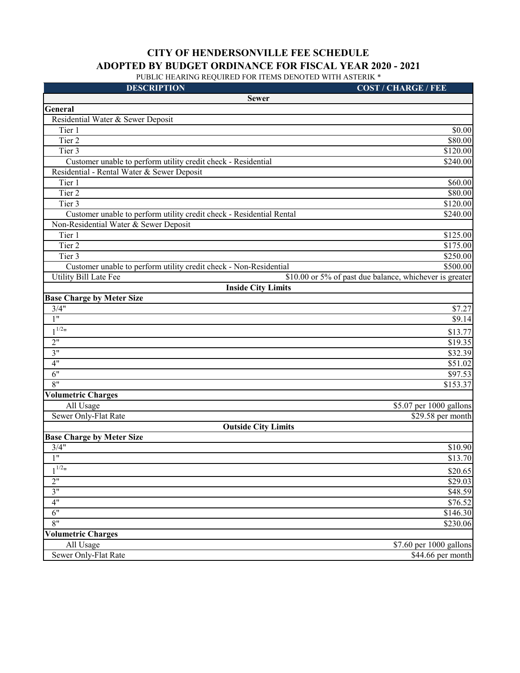| <b>DESCRIPTION</b><br><b>COST / CHARGE / FEE</b><br><b>Sewer</b><br>General<br>Residential Water & Sewer Deposit<br>\$0.00<br>Tier 1<br>Tier 2<br>\$80.00<br>\$120.00<br>Tier $3$<br>Customer unable to perform utility credit check - Residential<br>\$240.00<br>Residential - Rental Water & Sewer Deposit<br>Tier 1<br>\$60.00<br>Tier 2<br>\$80.00<br>\$120.00<br>Tier 3<br>Customer unable to perform utility credit check - Residential Rental<br>\$240.00<br>Non-Residential Water & Sewer Deposit<br>Tier 1<br>\$125.00<br>Tier 2<br>\$175.00<br>Tier 3<br>\$250.00<br>\$500.00<br>Customer unable to perform utility credit check - Non-Residential<br><b>Utility Bill Late Fee</b><br>\$10.00 or 5% of past due balance, whichever is greater<br><b>Inside City Limits</b><br><b>Base Charge by Meter Size</b><br>3/4"<br>\$7.27<br>1"<br>\$9.14<br>$1^{1/2}$<br>\$13.77<br>2"<br>\$19.35<br>\$32.39<br>3"<br>4"<br>$\overline{$51.02}$<br>6"<br>\$97.53<br>8"<br>\$153.37<br><b>Volumetric Charges</b> |
|-------------------------------------------------------------------------------------------------------------------------------------------------------------------------------------------------------------------------------------------------------------------------------------------------------------------------------------------------------------------------------------------------------------------------------------------------------------------------------------------------------------------------------------------------------------------------------------------------------------------------------------------------------------------------------------------------------------------------------------------------------------------------------------------------------------------------------------------------------------------------------------------------------------------------------------------------------------------------------------------------------------------|
|                                                                                                                                                                                                                                                                                                                                                                                                                                                                                                                                                                                                                                                                                                                                                                                                                                                                                                                                                                                                                   |
|                                                                                                                                                                                                                                                                                                                                                                                                                                                                                                                                                                                                                                                                                                                                                                                                                                                                                                                                                                                                                   |
|                                                                                                                                                                                                                                                                                                                                                                                                                                                                                                                                                                                                                                                                                                                                                                                                                                                                                                                                                                                                                   |
|                                                                                                                                                                                                                                                                                                                                                                                                                                                                                                                                                                                                                                                                                                                                                                                                                                                                                                                                                                                                                   |
|                                                                                                                                                                                                                                                                                                                                                                                                                                                                                                                                                                                                                                                                                                                                                                                                                                                                                                                                                                                                                   |
|                                                                                                                                                                                                                                                                                                                                                                                                                                                                                                                                                                                                                                                                                                                                                                                                                                                                                                                                                                                                                   |
|                                                                                                                                                                                                                                                                                                                                                                                                                                                                                                                                                                                                                                                                                                                                                                                                                                                                                                                                                                                                                   |
|                                                                                                                                                                                                                                                                                                                                                                                                                                                                                                                                                                                                                                                                                                                                                                                                                                                                                                                                                                                                                   |
|                                                                                                                                                                                                                                                                                                                                                                                                                                                                                                                                                                                                                                                                                                                                                                                                                                                                                                                                                                                                                   |
|                                                                                                                                                                                                                                                                                                                                                                                                                                                                                                                                                                                                                                                                                                                                                                                                                                                                                                                                                                                                                   |
|                                                                                                                                                                                                                                                                                                                                                                                                                                                                                                                                                                                                                                                                                                                                                                                                                                                                                                                                                                                                                   |
|                                                                                                                                                                                                                                                                                                                                                                                                                                                                                                                                                                                                                                                                                                                                                                                                                                                                                                                                                                                                                   |
|                                                                                                                                                                                                                                                                                                                                                                                                                                                                                                                                                                                                                                                                                                                                                                                                                                                                                                                                                                                                                   |
|                                                                                                                                                                                                                                                                                                                                                                                                                                                                                                                                                                                                                                                                                                                                                                                                                                                                                                                                                                                                                   |
|                                                                                                                                                                                                                                                                                                                                                                                                                                                                                                                                                                                                                                                                                                                                                                                                                                                                                                                                                                                                                   |
|                                                                                                                                                                                                                                                                                                                                                                                                                                                                                                                                                                                                                                                                                                                                                                                                                                                                                                                                                                                                                   |
|                                                                                                                                                                                                                                                                                                                                                                                                                                                                                                                                                                                                                                                                                                                                                                                                                                                                                                                                                                                                                   |
|                                                                                                                                                                                                                                                                                                                                                                                                                                                                                                                                                                                                                                                                                                                                                                                                                                                                                                                                                                                                                   |
|                                                                                                                                                                                                                                                                                                                                                                                                                                                                                                                                                                                                                                                                                                                                                                                                                                                                                                                                                                                                                   |
|                                                                                                                                                                                                                                                                                                                                                                                                                                                                                                                                                                                                                                                                                                                                                                                                                                                                                                                                                                                                                   |
|                                                                                                                                                                                                                                                                                                                                                                                                                                                                                                                                                                                                                                                                                                                                                                                                                                                                                                                                                                                                                   |
|                                                                                                                                                                                                                                                                                                                                                                                                                                                                                                                                                                                                                                                                                                                                                                                                                                                                                                                                                                                                                   |
|                                                                                                                                                                                                                                                                                                                                                                                                                                                                                                                                                                                                                                                                                                                                                                                                                                                                                                                                                                                                                   |
|                                                                                                                                                                                                                                                                                                                                                                                                                                                                                                                                                                                                                                                                                                                                                                                                                                                                                                                                                                                                                   |
|                                                                                                                                                                                                                                                                                                                                                                                                                                                                                                                                                                                                                                                                                                                                                                                                                                                                                                                                                                                                                   |
|                                                                                                                                                                                                                                                                                                                                                                                                                                                                                                                                                                                                                                                                                                                                                                                                                                                                                                                                                                                                                   |
|                                                                                                                                                                                                                                                                                                                                                                                                                                                                                                                                                                                                                                                                                                                                                                                                                                                                                                                                                                                                                   |
|                                                                                                                                                                                                                                                                                                                                                                                                                                                                                                                                                                                                                                                                                                                                                                                                                                                                                                                                                                                                                   |
|                                                                                                                                                                                                                                                                                                                                                                                                                                                                                                                                                                                                                                                                                                                                                                                                                                                                                                                                                                                                                   |
| All Usage<br>\$5.07 per 1000 gallons                                                                                                                                                                                                                                                                                                                                                                                                                                                                                                                                                                                                                                                                                                                                                                                                                                                                                                                                                                              |
| Sewer Only-Flat Rate<br>\$29.58 per month                                                                                                                                                                                                                                                                                                                                                                                                                                                                                                                                                                                                                                                                                                                                                                                                                                                                                                                                                                         |
| <b>Outside City Limits</b>                                                                                                                                                                                                                                                                                                                                                                                                                                                                                                                                                                                                                                                                                                                                                                                                                                                                                                                                                                                        |
| <b>Base Charge by Meter Size</b>                                                                                                                                                                                                                                                                                                                                                                                                                                                                                                                                                                                                                                                                                                                                                                                                                                                                                                                                                                                  |
| 3/4"<br>\$10.90                                                                                                                                                                                                                                                                                                                                                                                                                                                                                                                                                                                                                                                                                                                                                                                                                                                                                                                                                                                                   |
| 1"<br>\$13.70                                                                                                                                                                                                                                                                                                                                                                                                                                                                                                                                                                                                                                                                                                                                                                                                                                                                                                                                                                                                     |
| $1^{1/2}$<br>\$20.65                                                                                                                                                                                                                                                                                                                                                                                                                                                                                                                                                                                                                                                                                                                                                                                                                                                                                                                                                                                              |
| 2"<br>\$29.03                                                                                                                                                                                                                                                                                                                                                                                                                                                                                                                                                                                                                                                                                                                                                                                                                                                                                                                                                                                                     |
| \$48.59<br>3"                                                                                                                                                                                                                                                                                                                                                                                                                                                                                                                                                                                                                                                                                                                                                                                                                                                                                                                                                                                                     |
| 4"<br>\$76.52                                                                                                                                                                                                                                                                                                                                                                                                                                                                                                                                                                                                                                                                                                                                                                                                                                                                                                                                                                                                     |
| \$146.30<br>6"                                                                                                                                                                                                                                                                                                                                                                                                                                                                                                                                                                                                                                                                                                                                                                                                                                                                                                                                                                                                    |
| \$230.06<br>8"                                                                                                                                                                                                                                                                                                                                                                                                                                                                                                                                                                                                                                                                                                                                                                                                                                                                                                                                                                                                    |
| <b>Volumetric Charges</b>                                                                                                                                                                                                                                                                                                                                                                                                                                                                                                                                                                                                                                                                                                                                                                                                                                                                                                                                                                                         |
| All Usage<br>\$7.60 per 1000 gallons                                                                                                                                                                                                                                                                                                                                                                                                                                                                                                                                                                                                                                                                                                                                                                                                                                                                                                                                                                              |
| Sewer Only-Flat Rate<br>\$44.66 per month                                                                                                                                                                                                                                                                                                                                                                                                                                                                                                                                                                                                                                                                                                                                                                                                                                                                                                                                                                         |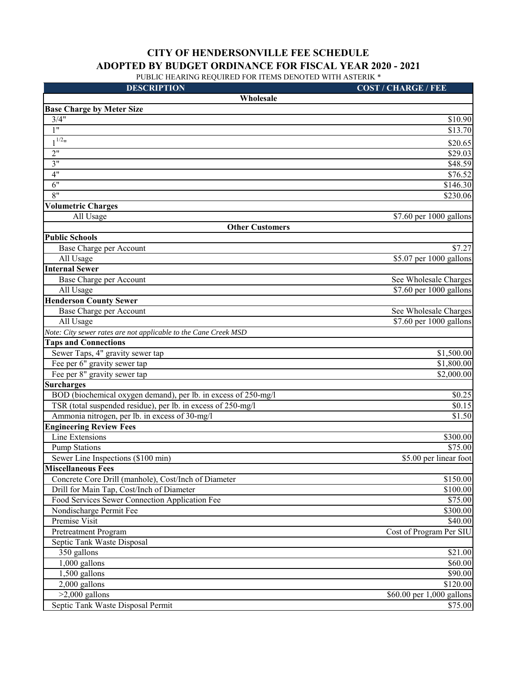| <b>DESCRIPTION</b>                                              | <b>COST / CHARGE / FEE</b>          |
|-----------------------------------------------------------------|-------------------------------------|
| Wholesale                                                       |                                     |
| <b>Base Charge by Meter Size</b>                                |                                     |
| 3/4"                                                            | \$10.90                             |
| 1"                                                              | \$13.70                             |
| $1^{1/2}$ "                                                     | \$20.65                             |
| 2"                                                              | \$29.03                             |
| 3"                                                              | \$48.59                             |
| 4"                                                              | \$76.52                             |
| 6"                                                              | \$146.30                            |
| 8"                                                              | \$230.06                            |
| <b>Volumetric Charges</b>                                       |                                     |
| All Usage                                                       | \$7.60 per 1000 gallons             |
| <b>Other Customers</b>                                          |                                     |
| <b>Public Schools</b>                                           |                                     |
| Base Charge per Account                                         | \$7.27                              |
| All Usage                                                       | \$5.07 per 1000 gallons             |
| <b>Internal Sewer</b>                                           |                                     |
| Base Charge per Account                                         | See Wholesale Charges               |
| All Usage                                                       | $\overline{$7.60}$ per 1000 gallons |
| <b>Henderson County Sewer</b>                                   |                                     |
| Base Charge per Account                                         | See Wholesale Charges               |
| All Usage                                                       | \$7.60 per 1000 gallons             |
| Note: City sewer rates are not applicable to the Cane Creek MSD |                                     |
| <b>Taps and Connections</b>                                     |                                     |
| Sewer Taps, 4" gravity sewer tap                                | \$1,500.00                          |
| Fee per 6" gravity sewer tap                                    | \$1,800.00                          |
| Fee per 8" gravity sewer tap                                    | \$2,000.00                          |
| <b>Surcharges</b>                                               |                                     |
| BOD (biochemical oxygen demand), per lb. in excess of 250-mg/l  | \$0.25                              |
| TSR (total suspended residue), per lb. in excess of 250-mg/l    | \$0.15                              |
| Ammonia nitrogen, per lb. in excess of 30-mg/l                  | \$1.50                              |
| <b>Engineering Review Fees</b>                                  |                                     |
| Line Extensions                                                 | \$300.00                            |
| <b>Pump Stations</b>                                            | \$75.00                             |
| Sewer Line Inspections (\$100 min)                              | \$5.00 per linear foot              |
| <b>Miscellaneous Fees</b>                                       |                                     |
| Concrete Core Drill (manhole), Cost/Inch of Diameter            | \$150.00                            |
| Drill for Main Tap, Cost/Inch of Diameter                       | \$100.00                            |
| Food Services Sewer Connection Application Fee                  | \$75.00                             |
| Nondischarge Permit Fee                                         | \$300.00                            |
| Premise Visit                                                   | \$40.00                             |
| Pretreatment Program                                            | Cost of Program Per SIU             |
| Septic Tank Waste Disposal                                      |                                     |
| 350 gallons<br>$1,000$ gallons                                  | \$21.00                             |
|                                                                 | \$60.00                             |
| 1,500 gallons<br>2,000 gallons                                  | \$90.00<br>\$120.00                 |
| $>2,000$ gallons                                                | \$60.00 per 1,000 gallons           |
| Septic Tank Waste Disposal Permit                               |                                     |
|                                                                 | \$75.00                             |